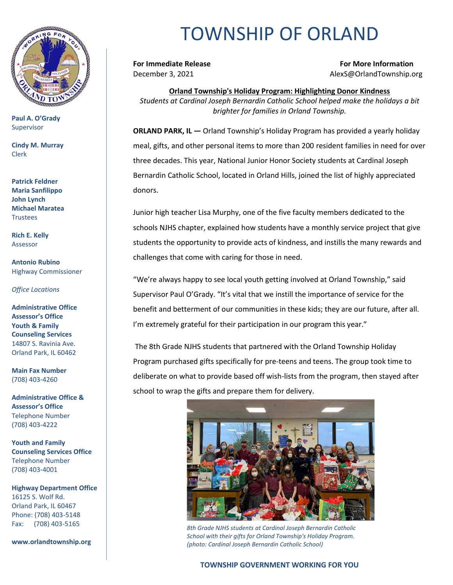

**Paul A. O'Grady** Supervisor

**Cindy M. Murray** Clerk

**Patrick Feldner Maria Sanfilippo John Lynch Michael Maratea Trustees** 

**Rich E. Kelly** Assessor

**Antonio Rubino** Highway Commissioner

*Office Locations*

**Administrative Office Assessor's Office Youth & Family Counseling Services** 14807 S. Ravinia Ave. Orland Park, IL 60462

**Main Fax Number**  (708) 403-4260

**Administrative Office & Assessor's Office**  Telephone Number (708) 403-4222

**Youth and Family Counseling Services Office**  Telephone Number (708) 403-4001

**Highway Department Office** 16125 S. Wolf Rd. Orland Park, IL 60467 Phone: (708) 403-5148 Fax: (708) 403-5165

**www.orlandtownship.org**

## TOWNSHIP OF ORLAND

**For Immediate Release For More Information** December 3, 2021 **Alexs**@OrlandTownship.org

**Orland Township's Holiday Program: Highlighting Donor Kindness** *Students at Cardinal Joseph Bernardin Catholic School helped make the holidays a bit brighter for families in Orland Township.*

**ORLAND PARK, IL —** Orland Township's Holiday Program has provided a yearly holiday meal, gifts, and other personal items to more than 200 resident families in need for over three decades. This year, National Junior Honor Society students at Cardinal Joseph Bernardin Catholic School, located in Orland Hills, joined the list of highly appreciated donors.

Junior high teacher Lisa Murphy, one of the five faculty members dedicated to the schools NJHS chapter, explained how students have a monthly service project that give students the opportunity to provide acts of kindness, and instills the many rewards and challenges that come with caring for those in need.

"We're always happy to see local youth getting involved at Orland Township," said Supervisor Paul O'Grady. "It's vital that we instill the importance of service for the benefit and betterment of our communities in these kids; they are our future, after all. I'm extremely grateful for their participation in our program this year."

The 8th Grade NJHS students that partnered with the Orland Township Holiday Program purchased gifts specifically for pre-teens and teens. The group took time to deliberate on what to provide based off wish-lists from the program, then stayed after school to wrap the gifts and prepare them for delivery.



*8th Grade NJHS students at Cardinal Joseph Bernardin Catholic School with their gifts for Orland Township's Holiday Program. (photo: Cardinal Joseph Bernardin Catholic School)*

## **TOWNSHIP GOVERNMENT WORKING FOR YOU**